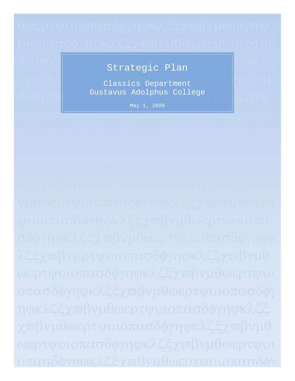φγηφκλζξχωβνμοτραία μηιρτασδώγηφκλζ Strategic Plan

ξχ $\overline{\alpha}$ βν $\|$  - 08ρ classics Department PKAGS  $\| \overline{\alpha} \beta$ V $\mu$  $\theta$ ωερτψ $\begin{bmatrix} 1 & 2 \end{bmatrix}$  Gustavus Adolphus College  $\begin{bmatrix} 2 & 0 \end{bmatrix}$ 

υιοπασοφγηφκυνυισπασφγηφκλζχωβν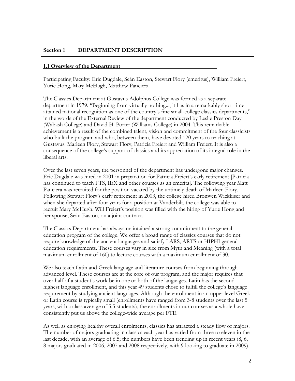# **Section 1 DEPARTMENT DESCRIPTION**

## **1.1 Overview of the Department**

Participating Faculty: Eric Dugdale, Seán Easton, Stewart Flory (emeritus), William Freiert, Yurie Hong, Mary McHugh, Matthew Panciera.

The Classics Department at Gustavus Adolphus College was formed as a separate department in 1979. "Beginning from virtually nothing..., it has in a remarkably short time attained national recognition as one of the country's fine small-college classics departments," in the words of the External Review of the department conducted by Leslie Preston Day (Wabash College) and David H. Porter (Williams College) in 2004. This remarkable achievement is a result of the combined talent, vision and commitment of the four classicists who built the program and who, between them, have devoted 120 years to teaching at Gustavus: Marleen Flory, Stewart Flory, Patricia Freiert and William Freiert. It is also a consequence of the college's support of classics and its appreciation of its integral role in the liberal arts.

Over the last seven years, the personnel of the department has undergone major changes. Eric Dugdale was hired in 2001 in preparation for Patricia Freiert's early retirement [Patricia has continued to teach FTS, IEX and other courses as an emerita]. The following year Matt Panciera was recruited for the position vacated by the untimely death of Marleen Flory. Following Stewart Flory's early retirement in 2003, the college hired Bronwen Wickkiser and when she departed after four years for a position at Vanderbilt, the college was able to recruit Mary McHugh. Will Freiert's position was filled with the hiring of Yurie Hong and her spouse, Seán Easton, on a joint contract.

The Classics Department has always maintained a strong commitment to the general education program of the college. We offer a broad range of classics courses that do not require knowledge of the ancient languages and satisfy LARS, ARTS or HIPHI general education requirements. These courses vary in size from Myth and Meaning (with a total maximum enrollment of 160) to lecture courses with a maximum enrollment of 30.

We also teach Latin and Greek language and literature courses from beginning through advanced level. These courses are at the core of our program, and the major requires that over half of a student's work be in one or both of the languages. Latin has the second highest language enrollment, and this year 49 students chose to fulfill the college's language requirement by studying ancient languages. Although the enrollment in an upper level Greek or Latin course is typically small (enrollments have ranged from 3-8 students over the last 5 years, with a class average of 5.5 students), the enrollments in our courses as a whole have consistently put us above the college-wide average per FTE.

As well as enjoying healthy overall enrolments, classics has attracted a steady flow of majors. The number of majors graduating in classics each year has varied from three to eleven in the last decade, with an average of 6.5; the numbers have been trending up in recent years (8, 6, 8 majors graduated in 2006, 2007 and 2008 respectively, with 9 looking to graduate in 2009).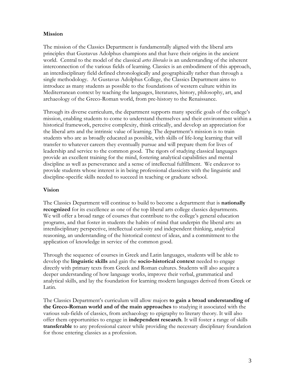# **Mission**

The mission of the Classics Department is fundamentally aligned with the liberal arts principles that Gustavus Adolphus champions and that have their origins in the ancient world. Central to the model of the classical *artes liberales* is an understanding of the inherent interconnection of the various fields of learning. Classics is an embodiment of this approach, an interdisciplinary field defined chronologically and geographically rather than through a single methodology. At Gustavus Adolphus College, the Classics Department aims to introduce as many students as possible to the foundations of western culture within its Mediterranean context by teaching the languages, literatures, history, philosophy, art, and archaeology of the Greco-Roman world, from pre-history to the Renaissance.

Through its diverse curriculum, the department supports many specific goals of the college's mission, enabling students to come to understand themselves and their environment within a historical framework, perceive complexity, think critically, and develop an appreciation for the liberal arts and the intrinsic value of learning. The department's mission is to train students who are as broadly educated as possible, with skills of life-long learning that will transfer to whatever careers they eventually pursue and will prepare them for lives of leadership and service to the common good. The rigors of studying classical languages provide an excellent training for the mind, fostering analytical capabilities and mental discipline as well as perseverance and a sense of intellectual fulfillment. We endeavor to provide students whose interest is in being professional classicists with the linguistic and discipline-specific skills needed to succeed in teaching or graduate school.

## **Vision**

The Classics Department will continue to build to become a department that is **nationally recognized** for its excellence as one of the top liberal arts college classics departments. We will offer a broad range of courses that contribute to the college's general education programs, and that foster in students the habits of mind that underpin the liberal arts: an interdisciplinary perspective, intellectual curiosity and independent thinking, analytical reasoning, an understanding of the historical context of ideas, and a commitment to the application of knowledge in service of the common good.

Through the sequence of courses in Greek and Latin languages, students will be able to develop the **linguistic skills** and gain the **socio-historical context** needed to engage directly with primary texts from Greek and Roman cultures. Students will also acquire a deeper understanding of how language works, improve their verbal, grammatical and analytical skills, and lay the foundation for learning modern languages derived from Greek or Latin.

The Classics Department's curriculum will allow majors **to gain a broad understanding of the Greco-Roman world and of the main approaches** to studying it associated with the various sub-fields of classics, from archaeology to epigraphy to literary theory. It will also offer them opportunities to engage in **independent research**. It will foster a range of skills **transferable** to any professional career while providing the necessary disciplinary foundation for those entering classics as a profession.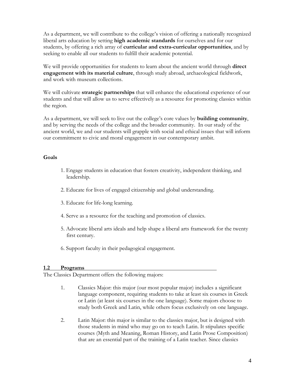As a department, we will contribute to the college's vision of offering a nationally recognized liberal arts education by setting **high academic standards** for ourselves and for our students, by offering a rich array of **curricular and extra-curricular opportunities**, and by seeking to enable all our students to fulfill their academic potential.

We will provide opportunities for students to learn about the ancient world through **direct engagement with its material culture**, through study abroad, archaeological fieldwork, and work with museum collections.

We will cultivate **strategic partnerships** that will enhance the educational experience of our students and that will allow us to serve effectively as a resource for promoting classics within the region.

As a department, we will seek to live out the college's core values by **building community**, and by serving the needs of the college and the broader community. In our study of the ancient world, we and our students will grapple with social and ethical issues that will inform our commitment to civic and moral engagement in our contemporary ambit.

# **Goals**

- 1. Engage students in education that fosters creativity, independent thinking, and leadership.
- 2. Educate for lives of engaged citizenship and global understanding.
- 3. Educate for life-long learning.
- 4. Serve as a resource for the teaching and promotion of classics.
- 5. Advocate liberal arts ideals and help shape a liberal arts framework for the twenty first century.
- 6. Support faculty in their pedagogical engagement.

# **1.2 Programs**

The Classics Department offers the following majors:

- 1. Classics Major: this major (our most popular major) includes a significant language component, requiring students to take at least six courses in Greek or Latin (at least six courses in the one language). Some majors choose to study both Greek and Latin, while others focus exclusively on one language.
- 2. Latin Major: this major is similar to the classics major, but is designed with those students in mind who may go on to teach Latin. It stipulates specific courses (Myth and Meaning, Roman History, and Latin Prose Composition) that are an essential part of the training of a Latin teacher. Since classics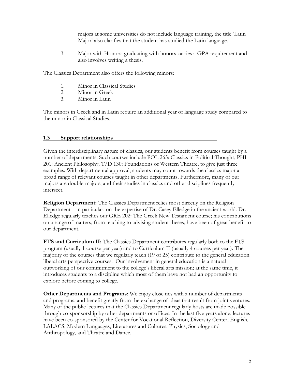majors at some universities do not include language training, the title 'Latin Major' also clarifies that the student has studied the Latin language.

3. Major with Honors: graduating with honors carries a GPA requirement and also involves writing a thesis.

The Classics Department also offers the following minors:

- 1. Minor in Classical Studies
- 2. Minor in Greek
- 3. Minor in Latin

The minors in Greek and in Latin require an additional year of language study compared to the minor in Classical Studies.

# **1.3 Support relationships**

Given the interdisciplinary nature of classics, our students benefit from courses taught by a number of departments. Such courses include POL 265: Classics in Political Thought, PHI 201: Ancient Philosophy, T/D 130: Foundations of Western Theatre, to give just three examples. With departmental approval, students may count towards the classics major a broad range of relevant courses taught in other departments. Furthermore, many of our majors are double-majors, and their studies in classics and other disciplines frequently intersect.

**Religion Department:** The Classics Department relies most directly on the Religion Department – in particular, on the expertise of Dr. Casey Elledge in the ancient world. Dr. Elledge regularly teaches our GRE 202: The Greek New Testament course; his contributions on a range of matters, from teaching to advising student theses, have been of great benefit to our department.

**FTS and Curriculum II:** The Classics Department contributes regularly both to the FTS program (usually 1 course per year) and to Curriculum II (usually 4 courses per year). The majority of the courses that we regularly teach (19 of 25) contribute to the general education liberal arts perspective courses. Our involvement in general education is a natural outworking of our commitment to the college's liberal arts mission; at the same time, it introduces students to a discipline which most of them have not had an opportunity to explore before coming to college.

**Other Departments and Programs:** We enjoy close ties with a number of departments and programs, and benefit greatly from the exchange of ideas that result from joint ventures. Many of the public lectures that the Classics Department regularly hosts are made possible through co-sponsorship by other departments or offices. In the last five years alone, lectures have been co-sponsored by the Center for Vocational Reflection, Diversity Center, English, LALACS, Modern Languages, Literatures and Cultures, Physics, Sociology and Anthropology, and Theatre and Dance.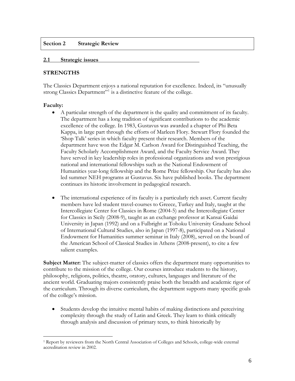## **Section 2 Strategic Review**

### **2.1 Strategic issues**

# **STRENGTHS**

The Classics Department enjoys a national reputation for excellence. Indeed, its "unusually strong Classics Department"<sup>[1](#page-5-0)</sup> is a distinctive feature of the college.

# **Faculty:**

- A particular strength of the department is the quality and commitment of its faculty. The department has a long tradition of significant contributions to the academic excellence of the college. In 1983, Gustavus was awarded a chapter of Phi Beta Kappa, in large part through the efforts of Marleen Flory. Stewart Flory founded the 'Shop Talk' series in which faculty present their research. Members of the department have won the Edgar M. Carlson Award for Distinguished Teaching, the Faculty Scholarly Accomplishment Award, and the Faculty Service Award. They have served in key leadership roles in professional organizations and won prestigious national and international fellowships such as the National Endowment of Humanities year-long fellowship and the Rome Prize fellowship. Our faculty has also led summer NEH programs at Gustavus. Six have published books. The department continues its historic involvement in pedagogical research.
- The international experience of its faculty is a particularly rich asset. Current faculty members have led student travel-courses to Greece, Turkey and Italy, taught at the Intercollegiate Center for Classics in Rome (2004-5) and the Intercollegiate Center for Classics in Sicily (2008-9), taught as an exchange professor at Kansai Gaidai University in Japan (1992) and on a Fulbright at Tohoku University Graduate School of International Cultural Studies, also in Japan (1997-8), participated on a National Endowment for Humanities summer seminar in Italy (2008), served on the board of the American School of Classical Studies in Athens (2008-present), to cite a few salient examples.

**Subject Matter:** The subject-matter of classics offers the department many opportunities to contribute to the mission of the college. Our courses introduce students to the history, philosophy, religions, politics, theatre, oratory, cultures, languages and literature of the ancient world. Graduating majors consistently praise both the breadth and academic rigor of the curriculum. Through its diverse curriculum, the department supports many specific goals of the college's mission.

• Students develop the intuitive mental habits of making distinctions and perceiving complexity through the study of Latin and Greek. They learn to think critically through analysis and discussion of primary texts, to think historically by

<span id="page-5-0"></span>i 1 Report by reviewers from the North Central Association of Colleges and Schools, college-wide external accreditation review in 2002.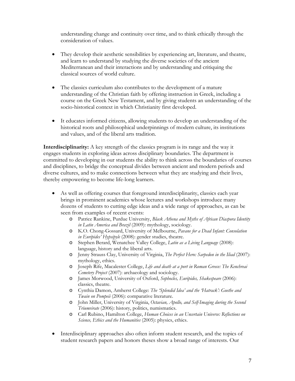understanding change and continuity over time, and to think ethically through the consideration of values.

- They develop their aesthetic sensibilities by experiencing art, literature, and theatre, and learn to understand by studying the diverse societies of the ancient Mediterranean and their interactions and by understanding and critiquing the classical sources of world culture.
- The classics curriculum also contributes to the development of a mature understanding of the Christian faith by offering instruction in Greek, including a course on the Greek New Testament, and by giving students an understanding of the socio-historical context in which Christianity first developed.
- It educates informed citizens, allowing students to develop an understanding of the historical roots and philosophical underpinnings of modern culture, its institutions and values, and of the liberal arts tradition.

**Interdisciplinarity:** A key strength of the classics program is its range and the way it engages students in exploring ideas across disciplinary boundaries. The department is committed to developing in our students the ability to think across the boundaries of courses and disciplines, to bridge the conceptual divides between ancient and modern periods and diverse cultures, and to make connections between what they are studying and their lives, thereby empowering to become life-long learners.

- As well as offering courses that foreground interdisciplinarity, classics each year brings in prominent academics whose lectures and workshops introduce many dozens of students to cutting edge ideas and a wide range of approaches, as can be seen from examples of recent events:
	- o Patrice Rankine, Purdue University, *Black Athena and Myths of African Diaspora Identity in Latin America and Brazil* (2009): mythology, sociology.
	- o K.O. Chong-Gossard, University of Melbourne, *Pavane for a Dead Infant: Consolation in Euripides' Hypsipyle* (2008): gender studies, theatre.
	- o Stephen Berard, Wenatchee Valley College, *Latin as a Living Language* (2008): language, history and the liberal arts.
	- o Jenny Strauss Clay, University of Virginia, *The Perfect Hero: Sarpedon in the Iliad* (2007): mythology, ethics.
	- o Joseph Rife, Macalester College, *Life and death at a port in Roman Greece: The Kenchreai Cemetery Project* (2007): archaeology and sociology.
	- o James Morwood, University of Oxford, *Sophocles, Euripides, Shakespeare* (2006): classics, theatre.
	- o Cynthia Damon, Amherst College: *The 'Splendid Idea' and the 'Hatrack': Goethe and Twain on Pompeii* (2006): comparative literature.
	- o John Miller, University of Virginia, *Octavian, Apollo, and Self-Imaging during the Second Triumvirate* (2006): history, politics, numismatics.
	- o Carl Rubino, Hamilton College, *Human Choices in an Uncertain Universe: Reflections on Science, Ethics and the Humanities* (2005): physics, ethics.
- Interdisciplinary approaches also often inform student research, and the topics of student research papers and honors theses show a broad range of interests. Our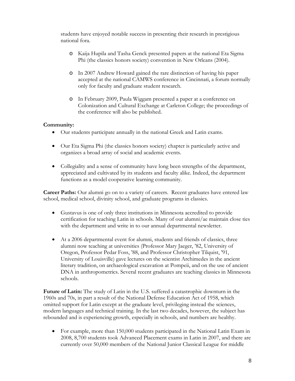students have enjoyed notable success in presenting their research in prestigious national fora.

- o Kaija Hupila and Tasha Genck presented papers at the national Eta Sigma Phi (the classics honors society) convention in New Orleans (2004).
- o In 2007 Andrew Howard gained the rare distinction of having his paper accepted at the national CAMWS conference in Cincinnati, a forum normally only for faculty and graduate student research.
- o In February 2009, Paula Wiggam presented a paper at a conference on Colonization and Cultural Exchange at Carleton College; the proceedings of the conference will also be published.

# **Community:**

- Our students participate annually in the national Greek and Latin exams.
- Our Eta Sigma Phi (the classics honors society) chapter is particularly active and organizes a broad array of social and academic events.
- Collegiality and a sense of community have long been strengths of the department, appreciated and cultivated by its students and faculty alike. Indeed, the department functions as a model cooperative learning community.

**Career Paths:** Our alumni go on to a variety of careers. Recent graduates have entered law school, medical school, divinity school, and graduate programs in classics.

- Gustavus is one of only three institutions in Minnesota accredited to provide certification for teaching Latin in schools. Many of our alumni/ae maintain close ties with the department and write in to our annual departmental newsletter.
- At a 2006 departmental event for alumni, students and friends of classics, three alumni now teaching at universities (Professor Mary Jaeger, '82, University of Oregon, Professor Pedar Foss, '88, and Professor Christopher Tilquist, '91, University of Louisville) gave lectures on the scientist Archimedes in the ancient literary tradition, on archaeological excavation at Pompeii, and on the use of ancient DNA in anthropometrics. Several recent graduates are teaching classics in Minnesota schools.

**Future of Latin:** The study of Latin in the U.S. suffered a catastrophic downturn in the 1960s and 70s, in part a result of the National Defense Education Act of 1958, which omitted support for Latin except at the graduate level, privileging instead the sciences, modern languages and technical training. In the last two decades, however, the subject has rebounded and is experiencing growth, especially in schools, and numbers are healthy.

• For example, more than 150,000 students participated in the National Latin Exam in 2008, 8,700 students took Advanced Placement exams in Latin in 2007, and there are currently over 50,000 members of the National Junior Classical League for middle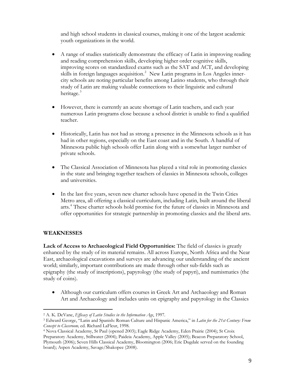and high school students in classical courses, making it one of the largest academic youth organizations in the world.

- A range of studies statistically demonstrate the efficacy of Latin in improving reading and reading comprehension skills, developing higher order cognitive skills, improving scores on standardized exams such as the SAT and ACT, and developing skills in foreign languages acquisition.<sup>[2](#page-8-0)</sup> New Latin programs in Los Angeles innercity schools are noting particular benefits among Latino students, who through their study of Latin are making valuable connections to their linguistic and cultural heritage.<sup>[3](#page-8-1)</sup>
- However, there is currently an acute shortage of Latin teachers, and each year numerous Latin programs close because a school district is unable to find a qualified teacher.
- Historically, Latin has not had as strong a presence in the Minnesota schools as it has had in other regions, especially on the East coast and in the South. A handful of Minnesota public high schools offer Latin along with a somewhat larger number of private schools.
- The Classical Association of Minnesota has played a vital role in promoting classics in the state and bringing together teachers of classics in Minnesota schools, colleges and universities.
- In the last five years, seven new charter schools have opened in the Twin Cities Metro area, all offering a classical curriculum, including Latin, built around the liberal arts.<sup>[4](#page-8-2)</sup> These charter schools hold promise for the future of classics in Minnesota and offer opportunities for strategic partnership in promoting classics and the liberal arts.

# **WEAKNESSES**

**Lack of Access to Archaeological Field Opportunities:** The field of classics is greatly enhanced by the study of its material remains. All across Europe, North Africa and the Near East, archaeological excavations and surveys are advancing our understanding of the ancient world; similarly, important contributions are made through other sub-fields such as epigraphy (the study of inscriptions), papyrology (the study of papyri), and numismatics (the study of coins).

• Although our curriculum offers courses in Greek Art and Archaeology and Roman Art and Archaeology and includes units on epigraphy and papyrology in the Classics

i

<span id="page-8-1"></span><span id="page-8-0"></span><sup>&</sup>lt;sup>2</sup> A. K. DeVane, *Efficacy of Latin Studies in the Information Age*, 1997.<br><sup>3</sup> Edward George, "Latin and Spanish: Roman Culture and Hispanic America," in *Latin for the 21st Century: From Concept to Classroom*, ed. Richar

<span id="page-8-2"></span><sup>&</sup>lt;sup>4</sup> Nova Classical Academy, St Paul (opened 2003); Eagle Ridge Academy, Eden Prairie (2004); St Croix Preparatory Academy, Stillwater (2004); Paideia Academy, Apple Valley (2005); Beacon Preparatory School, Plymouth (2006); Seven Hills Classical Academy, Bloomington (2006; Eric Dugdale served on the founding board); Aspen Academy, Savage/Shakopee (2008).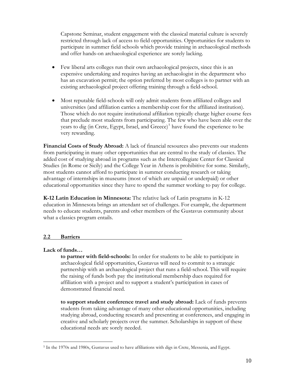Capstone Seminar, student engagement with the classical material culture is severely restricted through lack of access to field opportunities. Opportunities for students to participate in summer field schools which provide training in archaeological methods and offer hands-on archaeological experience are sorely lacking.

- Few liberal arts colleges run their own archaeological projects, since this is an expensive undertaking and requires having an archaeologist in the department who has an excavation permit; the option preferred by most colleges is to partner with an existing archaeological project offering training through a field-school.
- Most reputable field-schools will only admit students from affiliated colleges and universities (and affiliation carries a membership cost for the affiliated institution). Those which do not require institutional affiliation typically charge higher course fees that preclude most students from participating. The few who have been able over the years to dig (in Crete, Egypt, Israel, and Greece)<sup>[5](#page-9-0)</sup> have found the experience to be very rewarding.

**Financial Costs of Study Abroad:** A lack of financial resources also prevents our students from participating in many other opportunities that are central to the study of classics. The added cost of studying abroad in programs such as the Intercollegiate Center for Classical Studies (in Rome or Sicily) and the College Year in Athens is prohibitive for some. Similarly, most students cannot afford to participate in summer conducting research or taking advantage of internships in museums (most of which are unpaid or underpaid) or other educational opportunities since they have to spend the summer working to pay for college.

**K-12 Latin Education in Minnesota:** The relative lack of Latin programs in K-12 education in Minnesota brings an attendant set of challenges. For example, the department needs to educate students, parents and other members of the Gustavus community about what a classics program entails.

# **2.2 Barriers**

#### **Lack of funds…**

i

**to partner with field-schools:** In order for students to be able to participate in archaeological field opportunities, Gustavus will need to commit to a strategic partnership with an archaeological project that runs a field-school. This will require the raising of funds both pay the institutional membership dues required for affiliation with a project and to support a student's participation in cases of demonstrated financial need.

**to support student conference travel and study abroad:** Lack of funds prevents students from taking advantage of many other educational opportunities, including studying abroad, conducting research and presenting at conferences, and engaging in creative and scholarly projects over the summer. Scholarships in support of these educational needs are sorely needed.

<span id="page-9-0"></span><sup>5</sup> In the 1970s and 1980s, Gustavus used to have affiliations with digs in Crete, Messenia, and Egypt.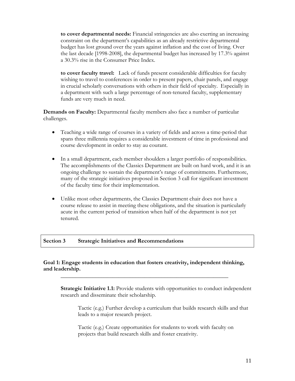**to cover departmental needs:** Financial stringencies are also exerting an increasing constraint on the department's capabilities as an already restrictive departmental budget has lost ground over the years against inflation and the cost of living. Over the last decade [1998-2008], the departmental budget has increased by 17.3% against a 30.3% rise in the Consumer Price Index.

**to cover faculty travel:** Lack of funds present considerable difficulties for faculty wishing to travel to conferences in order to present papers, chair panels, and engage in crucial scholarly conversations with others in their field of specialty. Especially in a department with such a large percentage of non-tenured faculty, supplementary funds are very much in need.

**Demands on Faculty:** Departmental faculty members also face a number of particular challenges.

- Teaching a wide range of courses in a variety of fields and across a time-period that spans three millennia requires a considerable investment of time in professional and course development in order to stay au courant.
- In a small department, each member shoulders a larger portfolio of responsibilities. The accomplishments of the Classics Department are built on hard work, and it is an ongoing challenge to sustain the department's range of commitments. Furthermore, many of the strategic initiatives proposed in Section 3 call for significant investment of the faculty time for their implementation.
- Unlike most other departments, the Classics Department chair does not have a course release to assist in meeting these obligations, and the situation is particularly acute in the current period of transition when half of the department is not yet tenured.

#### **Section 3 Strategic Initiatives and Recommendations**

# **Goal 1: Engage students in education that fosters creativity, independent thinking, and leadership.**

 **\_\_\_\_\_\_\_\_\_\_\_\_\_\_\_\_\_\_\_\_\_\_\_\_\_\_\_\_\_\_\_\_\_\_\_\_\_\_\_\_\_\_\_\_\_\_\_\_\_\_\_\_\_\_\_\_\_\_** 

**Strategic Initiative 1.1:** Provide students with opportunities to conduct independent research and disseminate their scholarship.

Tactic (e.g.) Further develop a curriculum that builds research skills and that leads to a major research project.

Tactic (e.g.) Create opportunities for students to work with faculty on projects that build research skills and foster creativity.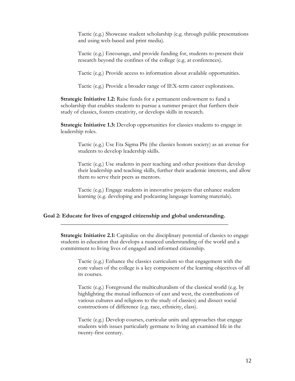Tactic (e.g.) Showcase student scholarship (e.g. through public presentations and using web-based and print media).

Tactic (e.g.) Encourage, and provide funding for, students to present their research beyond the confines of the college (e.g. at conferences).

Tactic (e.g.) Provide access to information about available opportunities.

Tactic (e.g.) Provide a broader range of IEX-term career explorations.

**Strategic Initiative 1.2:** Raise funds for a permanent endowment to fund a scholarship that enables students to pursue a summer project that furthers their study of classics, fosters creativity, or develops skills in research.

**Strategic Initiative 1.3:** Develop opportunities for classics students to engage in leadership roles.

Tactic (e.g.) Use Eta Sigma Phi (the classics honors society) as an avenue for students to develop leadership skills.

Tactic (e.g.) Use students in peer teaching and other positions that develop their leadership and teaching skills, further their academic interests, and allow them to serve their peers as mentors.

Tactic (e.g.) Engage students in innovative projects that enhance student learning (e.g. developing and podcasting language learning materials).

## **Goal 2: Educate for lives of engaged citizenship and global understanding. \_\_\_\_\_\_\_\_\_\_\_\_\_\_\_\_\_\_\_\_\_\_\_\_\_\_\_\_\_\_\_\_\_\_\_\_\_\_\_\_\_\_\_\_\_\_\_\_\_\_\_\_\_\_\_\_\_\_**

**Strategic Initiative 2.1:** Capitalize on the disciplinary potential of classics to engage students in education that develops a nuanced understanding of the world and a commitment to living lives of engaged and informed citizenship.

Tactic (e.g.) Enhance the classics curriculum so that engagement with the core values of the college is a key component of the learning objectives of all its courses.

Tactic (e.g.) Foreground the multiculturalism of the classical world (e.g. by highlighting the mutual influences of east and west, the contributions of various cultures and religions to the study of classics) and dissect social constructions of difference (e.g. race, ethnicity, class).

Tactic (e.g.) Develop courses, curricular units and approaches that engage students with issues particularly germane to living an examined life in the twenty-first century.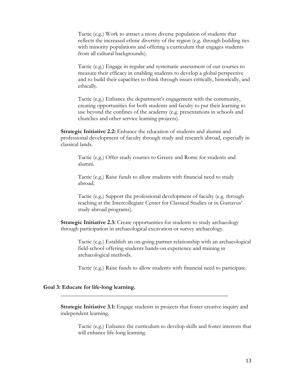Tactic (e.g.) Work to attract a more diverse population of students that reflects the increased ethnic diversity of the region (e.g. through building ties with minority populations and offering a curriculum that engages students from all cultural backgrounds).

Tactic (e.g.) Engage in regular and systematic assessment of our courses to measure their efficacy in enabling students to develop a global perspective and to build their capacities to think through issues critically, historically, and ethically.

Tactic (e.g.) Enhance the department's engagement with the community, creating opportunities for both students and faculty to put their learning to use beyond the confines of the academy (e.g. presentations in schools and churches and other service learning projects).

**Strategic Initiative 2.2:** Enhance the education of students and alumni and professional development of faculty through study and research abroad, especially in classical lands.

Tactic (e.g.) Offer study courses to Greece and Rome for students and alumni.

Tactic (e.g.) Raise funds to allow students with financial need to study abroad.

Tactic (e.g.) Support the professional development of faculty (e.g. through teaching at the Intercollegiate Center for Classical Studies or in Gustavus' study abroad programs).

**Strategic Initiative 2.3:** Create opportunities for students to study archaeology through participation in archaeological excavation or survey archaeology.

Tactic (e.g.) Establish an on-going partner relationship with an archaeological field-school offering students hands-on experience and training in archaeological methods.

Tactic (e.g.) Raise funds to allow students with financial need to participate.

#### **Goal 3: Educate for life-long learning.**

**Strategic Initiative 3.1:** Engage students in projects that foster creative inquiry and independent learning.

 **\_\_\_\_\_\_\_\_\_\_\_\_\_\_\_\_\_\_\_\_\_\_\_\_\_\_\_\_\_\_\_\_\_\_\_\_\_\_\_\_\_\_\_\_\_\_\_\_\_\_\_\_\_\_\_\_\_\_** 

Tactic (e.g.) Enhance the curriculum to develop skills and foster interests that will enhance life-long learning.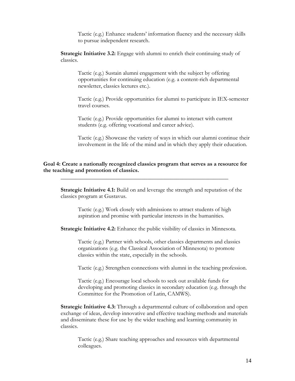Tactic (e.g.) Enhance students' information fluency and the necessary skills to pursue independent research.

**Strategic Initiative 3.2:** Engage with alumni to enrich their continuing study of classics.

Tactic (e.g.) Sustain alumni engagement with the subject by offering opportunities for continuing education (e.g. a content-rich departmental newsletter, classics lectures etc.).

Tactic (e.g.) Provide opportunities for alumni to participate in IEX-semester travel courses.

Tactic (e.g.) Provide opportunities for alumni to interact with current students (e.g. offering vocational and career advice).

Tactic (e.g.) Showcase the variety of ways in which our alumni continue their involvement in the life of the mind and in which they apply their education.

## **Goal 4: Create a nationally recognized classics program that serves as a resource for the teaching and promotion of classics.**

 **\_\_\_\_\_\_\_\_\_\_\_\_\_\_\_\_\_\_\_\_\_\_\_\_\_\_\_\_\_\_\_\_\_\_\_\_\_\_\_\_\_\_\_\_\_\_\_\_\_\_\_\_\_\_\_\_\_\_** 

**Strategic Initiative 4.1:** Build on and leverage the strength and reputation of the classics program at Gustavus.

Tactic (e.g.) Work closely with admissions to attract students of high aspiration and promise with particular interests in the humanities.

**Strategic Initiative 4.2:** Enhance the public visibility of classics in Minnesota.

Tactic (e.g.) Partner with schools, other classics departments and classics organizations (e.g. the Classical Association of Minnesota) to promote classics within the state, especially in the schools.

Tactic (e.g.) Strengthen connections with alumni in the teaching profession.

Tactic (e.g.) Encourage local schools to seek out available funds for developing and promoting classics in secondary education (e.g. through the Committee for the Promotion of Latin, CAMWS).

**Strategic Initiative 4.3:** Through a departmental culture of collaboration and open exchange of ideas, develop innovative and effective teaching methods and materials and disseminate these for use by the wider teaching and learning community in classics.

Tactic (e.g.) Share teaching approaches and resources with departmental colleagues.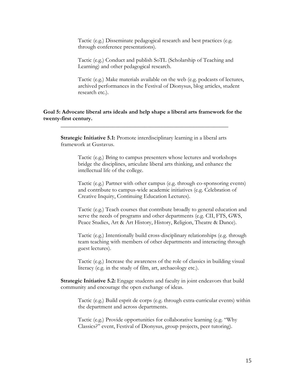Tactic (e.g.) Disseminate pedagogical research and best practices (e.g. through conference presentations).

Tactic (e.g.) Conduct and publish SoTL (Scholarship of Teaching and Learning) and other pedagogical research.

Tactic (e.g.) Make materials available on the web (e.g. podcasts of lectures, archived performances in the Festival of Dionysus, blog articles, student research etc.).

## **Goal 5: Advocate liberal arts ideals and help shape a liberal arts framework for the twenty-first century.**

 **\_\_\_\_\_\_\_\_\_\_\_\_\_\_\_\_\_\_\_\_\_\_\_\_\_\_\_\_\_\_\_\_\_\_\_\_\_\_\_\_\_\_\_\_\_\_\_\_\_\_\_\_\_\_\_\_\_\_** 

**Strategic Initiative 5.1:** Promote interdisciplinary learning in a liberal arts framework at Gustavus.

> Tactic (e.g.) Bring to campus presenters whose lectures and workshops bridge the disciplines, articulate liberal arts thinking, and enhance the intellectual life of the college.

Tactic (e.g.) Partner with other campus (e.g. through co-sponsoring events) and contribute to campus-wide academic initiatives (e.g. Celebration of Creative Inquiry, Continuing Education Lectures).

Tactic (e.g.) Teach courses that contribute broadly to general education and serve the needs of programs and other departments (e.g. CII, FTS, GWS, Peace Studies, Art & Art History, History, Religion, Theatre & Dance).

Tactic (e.g.) Intentionally build cross-disciplinary relationships (e.g. through team teaching with members of other departments and interacting through guest lectures).

Tactic (e.g.) Increase the awareness of the role of classics in building visual literacy (e.g. in the study of film, art, archaeology etc.).

**Strategic Initiative 5.2:** Engage students and faculty in joint endeavors that build community and encourage the open exchange of ideas.

Tactic (e.g.) Build esprit de corps (e.g. through extra-curricular events) within the department and across departments.

Tactic (e.g.) Provide opportunities for collaborative learning (e.g. "Why Classics?" event, Festival of Dionysus, group projects, peer tutoring).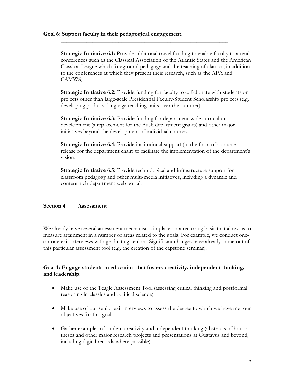## **Goal 6: Support faculty in their pedagogical engagement.**

**Strategic Initiative 6.1:** Provide additional travel funding to enable faculty to attend conferences such as the Classical Association of the Atlantic States and the American Classical League which foreground pedagogy and the teaching of classics, in addition to the conferences at which they present their research, such as the APA and CAMWS).

 **\_\_\_\_\_\_\_\_\_\_\_\_\_\_\_\_\_\_\_\_\_\_\_\_\_\_\_\_\_\_\_\_\_\_\_\_\_\_\_\_\_\_\_\_\_\_\_\_\_\_\_\_\_\_\_\_\_\_** 

**Strategic Initiative 6.2:** Provide funding for faculty to collaborate with students on projects other than large-scale Presidential Faculty-Student Scholarship projects (e.g. developing pod-cast language teaching units over the summer).

**Strategic Initiative 6.3:** Provide funding for department-wide curriculum development (a replacement for the Bush department grants) and other major initiatives beyond the development of individual courses.

**Strategic Initiative 6.4:** Provide institutional support (in the form of a course release for the department chair) to facilitate the implementation of the department's vision.

**Strategic Initiative 6.5:** Provide technological and infrastructure support for classroom pedagogy and other multi-media initiatives, including a dynamic and content-rich department web portal.

# **Section 4 Assessment**

We already have several assessment mechanisms in place on a recurring basis that allow us to measure attainment in a number of areas related to the goals. For example, we conduct oneon-one exit interviews with graduating seniors. Significant changes have already come out of this particular assessment tool (e.g. the creation of the capstone seminar).

# **Goal 1: Engage students in education that fosters creativity, independent thinking, and leadership.**

- Make use of the Teagle Assessment Tool (assessing critical thinking and postformal reasoning in classics and political science).
- Make use of our senior exit interviews to assess the degree to which we have met our objectives for this goal.
- Gather examples of student creativity and independent thinking (abstracts of honors theses and other major research projects and presentations at Gustavus and beyond, including digital records where possible).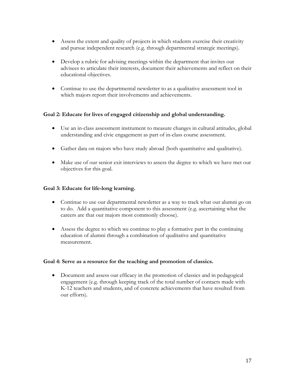- Assess the extent and quality of projects in which students exercise their creativity and pursue independent research (e.g. through departmental strategic meetings).
- Develop a rubric for advising meetings within the department that invites our advisees to articulate their interests, document their achievements and reflect on their educational objectives.
- Continue to use the departmental newsletter to as a qualitative assessment tool in which majors report their involvements and achievements.

# **Goal 2: Educate for lives of engaged citizenship and global understanding.**

- Use an in-class assessment instrument to measure changes in cultural attitudes, global understanding and civic engagement as part of in-class course assessment.
- Gather data on majors who have study abroad (both quantitative and qualitative).
- Make use of our senior exit interviews to assess the degree to which we have met our objectives for this goal.

## **Goal 3: Educate for life-long learning.**

- Continue to use our departmental newsletter as a way to track what our alumni go on to do. Add a quantitative component to this assessment (e.g. ascertaining what the careers are that our majors most commonly choose).
- Assess the degree to which we continue to play a formative part in the continuing education of alumni through a combination of qualitative and quantitative measurement.

# **Goal 4: Serve as a resource for the teaching and promotion of classics.**

• Document and assess our efficacy in the promotion of classics and in pedagogical engagement (e.g. through keeping track of the total number of contacts made with K-12 teachers and students, and of concrete achievements that have resulted from our efforts).